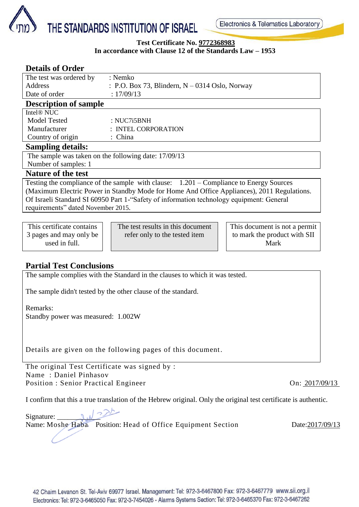



## **Test Certificate No. 9772368983 In accordance with Clause 12 of the Standards Law – 1953**

| <b>Details of Order</b>                                                                    |                                                  |                                   |  |                               |  |  |  |
|--------------------------------------------------------------------------------------------|--------------------------------------------------|-----------------------------------|--|-------------------------------|--|--|--|
| The test was ordered by                                                                    |                                                  | : Nemko                           |  |                               |  |  |  |
| Address                                                                                    | : P.O. Box 73, Blindern, $N - 0314$ Oslo, Norway |                                   |  |                               |  |  |  |
| Date of order                                                                              |                                                  | : 17/09/13                        |  |                               |  |  |  |
| <b>Description of sample</b>                                                               |                                                  |                                   |  |                               |  |  |  |
| Intel <sup>®</sup> NUC                                                                     |                                                  |                                   |  |                               |  |  |  |
| <b>Model Tested</b>                                                                        | : NUC7i5BNH                                      |                                   |  |                               |  |  |  |
| Manufacturer                                                                               | : INTEL CORPORATION                              |                                   |  |                               |  |  |  |
| Country of origin                                                                          | : China                                          |                                   |  |                               |  |  |  |
| <b>Sampling details:</b>                                                                   |                                                  |                                   |  |                               |  |  |  |
| The sample was taken on the following date: 17/09/13                                       |                                                  |                                   |  |                               |  |  |  |
| Number of samples: 1                                                                       |                                                  |                                   |  |                               |  |  |  |
| <b>Nature of the test</b>                                                                  |                                                  |                                   |  |                               |  |  |  |
| Testing the compliance of the sample with clause: 1.201 – Compliance to Energy Sources     |                                                  |                                   |  |                               |  |  |  |
| (Maximum Electric Power in Standby Mode for Home And Office Appliances), 2011 Regulations. |                                                  |                                   |  |                               |  |  |  |
| Of Israeli Standard SI 60950 Part 1-"Safety of information technology equipment: General   |                                                  |                                   |  |                               |  |  |  |
| requirements" dated November 2015.                                                         |                                                  |                                   |  |                               |  |  |  |
|                                                                                            |                                                  |                                   |  |                               |  |  |  |
| This certificate contains                                                                  |                                                  | The test results in this document |  | This document is not a permit |  |  |  |
| 3 pages and may only be                                                                    |                                                  | refer only to the tested item     |  | to mark the product with SII  |  |  |  |
| used in full.                                                                              |                                                  |                                   |  | Mark                          |  |  |  |

# **Partial Test Conclusions**

The sample complies with the Standard in the clauses to which it was tested.

The sample didn't tested by the other clause of the standard.

Remarks:

Standby power was measured: 1.002W

Details are given on the following pages of this document.

The original Test Certificate was signed by : Name : Daniel Pinhasov Position : Senior Practical Engineer On: 2017/09/13

I confirm that this a true translation of the Hebrew original. Only the original test certificate is authentic.

Signature: \_ Name: Moshe Haba Position: Head of Office Equipment Section Date:2017/09/13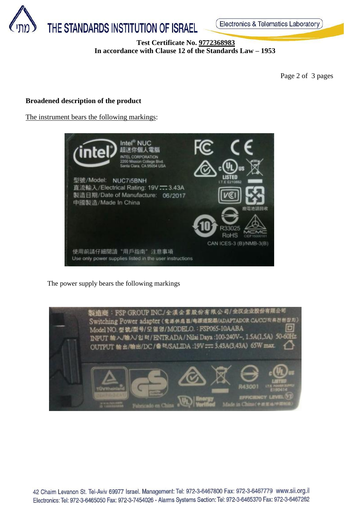

## **Test Certificate No. 9772368983 In accordance with Clause 12 of the Standards Law – 1953**

Page 2 of 3 pages

#### **Broadened description of the product**

The instrument bears the following markings:



The power supply bears the following markings